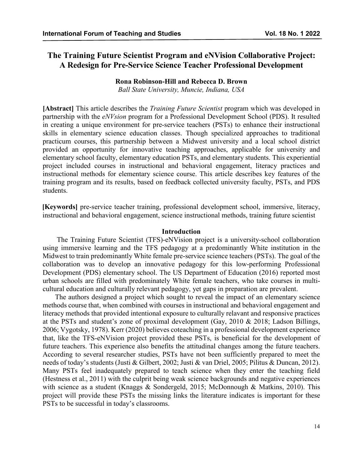# **The Training Future Scientist Program and eNVision Collaborative Project: A Redesign for Pre-Service Science Teacher Professional Development**

### **Rona Robinson-Hill and Rebecca D. Brown**

*Ball State University, Muncie, Indiana, USA*

**[Abstract]** This article describes the *Training Future Scientist* program which was developed in partnership with the *eNVsion* program for a Professional Development School (PDS). It resulted in creating a unique environment for pre-service teachers (PSTs) to enhance their instructional skills in elementary science education classes. Though specialized approaches to traditional practicum courses, this partnership between a Midwest university and a local school district provided an opportunity for innovative teaching approaches, applicable for university and elementary school faculty, elementary education PSTs, and elementary students. This experiential project included courses in instructional and behavioral engagement, literacy practices and instructional methods for elementary science course. This article describes key features of the training program and its results, based on feedback collected university faculty, PSTs, and PDS students.

**[Keywords]** pre-service teacher training, professional development school, immersive, literacy, instructional and behavioral engagement, science instructional methods, training future scientist

### **Introduction**

The Training Future Scientist (TFS)-eNVision project is a university-school collaboration using immersive learning and the TFS pedagogy at a predominantly White institution in the Midwest to train predominantly White female pre-service science teachers (PSTs). The goal of the collaboration was to develop an innovative pedagogy for this low-performing Professional Development (PDS) elementary school. The US Department of Education (2016) reported most urban schools are filled with predominately White female teachers, who take courses in multicultural education and culturally relevant pedagogy, yet gaps in preparation are prevalent.

The authors designed a project which sought to reveal the impact of an elementary science methods course that, when combined with courses in instructional and behavioral engagement and literacy methods that provided intentional exposure to culturally relavant and responsive practices at the PSTs and student's zone of proximal development (Gay, 2010 & 2018; Ladson Billings, 2006; Vygotsky, 1978). Kerr (2020) believes coteaching in a professional development experience that, like the TFS-eNVision project provided these PSTs, is beneficial for the development of future teachers. This experience also benefits the attitudinal changes among the future teachers. According to several researcher studies, PSTs have not been sufficiently prepared to meet the needs of today's students (Justi & Gilbert, 2002; Justi & van Driel, 2005; Pilitus & Duncan, 2012). Many PSTs feel inadequately prepared to teach science when they enter the teaching field (Hestness et al., 2011) with the culprit being weak science backgrounds and negative experiences with science as a student (Knaggs & Sondergeld, 2015; McDonnough & Matkins, 2010). This project will provide these PSTs the missing links the literature indicates is important for these PSTs to be successful in today's classrooms.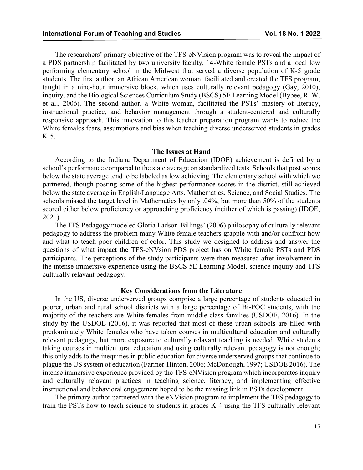The researchers' primary objective of the TFS-eNVision program was to reveal the impact of a PDS partnership facilitated by two university faculty, 14-White female PSTs and a local low performing elementary school in the Midwest that served a diverse population of K-5 grade students. The first author, an African American woman, facilitated and created the TFS program, taught in a nine-hour immersive block, which uses culturally relevant pedagogy (Gay, 2010), inquiry, and the Biological Sciences Curriculum Study (BSCS) 5E Learning Model (Bybee, R. W. et al., 2006). The second author, a White woman, facilitated the PSTs' mastery of literacy, instructional practice, and behavior management through a student-centered and culturally responsive approach. This innovation to this teacher preparation program wants to reduce the White females fears, assumptions and bias when teaching diverse underserved students in grades K-5.

#### **The Issues at Hand**

According to the Indiana Department of Education (IDOE) achievement is defined by a school's performance compared to the state average on standardized tests. Schools that post scores below the state average tend to be labeled as low achieving. The elementary school with which we partnered, though posting some of the highest performance scores in the district, still achieved below the state average in English/Language Arts, Mathematics, Science, and Social Studies. The schools missed the target level in Mathematics by only .04%, but more than 50% of the students scored either below proficiency or approaching proficiency (neither of which is passing) (IDOE, 2021).

The TFS Pedagogy modeled Gloria Ladson-Billings' (2006) philosophy of culturally relevant pedagogy to address the problem many White female teachers grapple with and/or confront how and what to teach poor children of color. This study we designed to address and answer the questions of what impact the TFS-eNVsion PDS project has on White female PSTs and PDS participants. The perceptions of the study participants were then measured after involvement in the intense immersive experience using the BSCS 5E Learning Model, science inquiry and TFS culturally relavant pedagogy.

#### **Key Considerations from the Literature**

In the US, diverse underserved groups comprise a large percentage of students educated in poorer, urban and rural school districts with a large percentage of Bi-POC students, with the majority of the teachers are White females from middle-class families (USDOE, 2016). In the study by the USDOE (2016), it was reported that most of these urban schools are filled with predominately White females who have taken courses in multicultural education and culturally relevant pedagogy, but more exposure to culturally relavant teaching is needed. White students taking courses in multicultural education and using culturally relevant pedagogy is not enough; this only adds to the inequities in public education for diverse underserved groups that continue to plague the US system of education (Farmer-Hinton, 2006; McDonough, 1997; USDOE 2016). The intense immersive experience provided by the TFS-eNVision program which incorporates inquiry and culturally relavant practices in teaching science, literacy, and implementing effective instructional and behavioral engagement hoped to be the missing link in PSTs development.

The primary author partnered with the eNVision program to implement the TFS pedagogy to train the PSTs how to teach science to students in grades K-4 using the TFS culturally relevant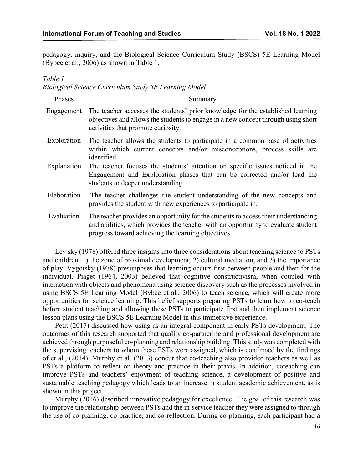pedagogy, inquiry, and the Biological Science Curriculum Study (BSCS) 5E Learning Model (Bybee et al., 2006) as shown in Table 1.

*Table 1 Biological Science Curriculum Study 5E Learning Model*

| Phases      | Summary                                                                                                                                                                                                                       |
|-------------|-------------------------------------------------------------------------------------------------------------------------------------------------------------------------------------------------------------------------------|
| Engagement  | The teacher accesses the students' prior knowledge for the established learning<br>objectives and allows the students to engage in a new concept through using short<br>activities that promote curiosity.                    |
| Exploration | The teacher allows the students to participate in a common base of activities<br>within which current concepts and/or misconceptions, process skills are<br>identified.                                                       |
| Explanation | The teacher focuses the students' attention on specific issues noticed in the<br>Engagement and Exploration phases that can be corrected and/or lead the<br>students to deeper understanding.                                 |
| Elaboration | The teacher challenges the student understanding of the new concepts and<br>provides the student with new experiences to participate in.                                                                                      |
| Evaluation  | The teacher provides an opportunity for the students to access their understanding<br>and abilities, which provides the teacher with an opportunity to evaluate student<br>progress toward achieving the learning objectives. |

Lev sky (1978) offered three insights into three considerations about teaching science to PSTs and children: 1) the zone of proximal development; 2) cultural mediation; and 3) the importance of play. Vygotsky (1978) presupposes that learning occurs first between people and then for the individual. Piaget (1964, 2003) believed that cognitive constructivism, when coupled with interaction with objects and phenomena using science discovery such as the processes involved in using BSCS 5E Learning Model (Bybee et al., 2006) to teach science, which will create more opportunities for science learning. This belief supports preparing PSTs to learn how to co-teach before student teaching and allowing these PSTs to participate first and then implement science lesson plans using the BSCS 5E Learning Model in this immersive experience.

Petit (2017) discussed how using as an integral component in early PSTs development. The outcomes of this research supported that quality co-partnering and professional development are achieved through purposeful co-planning and relationship building. This study was completed with the supervising teachers to whom these PSTs were assigned, which is confirmed by the findings of et al., (2014). Murphy et al. (2013) concur that co-teaching also provided teachers as well as PSTs a platform to reflect on theory and practice in their praxis. In addition, coteaching can improve PSTs and teachers' enjoyment of teaching science, a development of positive and sustainable teaching pedagogy which leads to an increase in student academic achievement, as is shown in this project.

Murphy (2016) described innovative pedagogy for excellence. The goal of this research was to improve the relationship between PSTs and the in-service teacher they were assigned to through the use of co-planning, co-practice, and co-reflection. During co-planning, each participant had a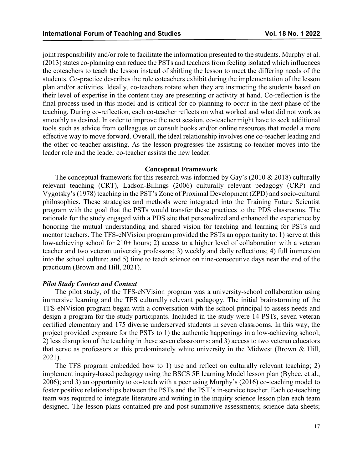joint responsibility and/or role to facilitate the information presented to the students. Murphy et al. (2013) states co-planning can reduce the PSTs and teachers from feeling isolated which influences the coteachers to teach the lesson instead of shifting the lesson to meet the differing needs of the students. Co-practice describes the role coteachers exhibit during the implementation of the lesson plan and/or activities. Ideally, co-teachers rotate when they are instructing the students based on their level of expertise in the content they are presenting or activity at hand. Co-reflection is the final process used in this model and is critical for co-planning to occur in the next phase of the teaching. During co-reflection, each co-teacher reflects on what worked and what did not work as smoothly as desired. In order to improve the next session, co-teacher might have to seek additional tools such as advice from colleagues or consult books and/or online resources that model a more effective way to move forward. Overall, the ideal relationship involves one co-teacher leading and the other co-teacher assisting. As the lesson progresses the assisting co-teacher moves into the leader role and the leader co-teacher assists the new leader.

#### **Conceptual Framework**

The conceptual framework for this research was informed by Gay's (2010 & 2018) culturally relevant teaching (CRT), Ladson-Billings (2006) culturally relevant pedagogy (CRP) and Vygotsky's (1978) teaching in the PST's Zone of Proximal Development (ZPD) and socio-cultural philosophies. These strategies and methods were integrated into the Training Future Scientist program with the goal that the PSTs would transfer these practices to the PDS classrooms. The rationale for the study engaged with a PDS site that personalized and enhanced the experience by honoring the mutual understanding and shared vision for teaching and learning for PSTs and mentor teachers. The TFS-eNVision program provided the PSTs an opportunity to: 1) serve at this low-achieving school for 210+ hours; 2) access to a higher level of collaboration with a veteran teacher and two veteran university professors; 3) weekly and daily reflections; 4) full immersion into the school culture; and 5) time to teach science on nine-consecutive days near the end of the practicum (Brown and Hill, 2021).

#### *Pilot Study Context and Context*

The pilot study, of the TFS-eNVision program was a university-school collaboration using immersive learning and the TFS culturally relevant pedagogy. The initial brainstorming of the TFS-eNVision program began with a conversation with the school principal to assess needs and design a program for the study participants. Included in the study were 14 PSTs, seven veteran certified elementary and 175 diverse underserved students in seven classrooms. In this way, the project provided exposure for the PSTs to 1) the authentic happenings in a low-achieving school; 2) less disruption of the teaching in these seven classrooms; and 3) access to two veteran educators that serve as professors at this predominately white university in the Midwest (Brown & Hill, 2021).

The TFS program embedded how to 1) use and reflect on culturally relevant teaching; 2) implement inquiry-based pedagogy using the BSCS 5E learning Model lesson plan (Bybee, et al., 2006); and 3) an opportunity to co-teach with a peer using Murphy's (2016) co-teaching model to foster positive relationships between the PSTs and the PST's in-service teacher. Each co-teaching team was required to integrate literature and writing in the inquiry science lesson plan each team designed. The lesson plans contained pre and post summative assessments; science data sheets;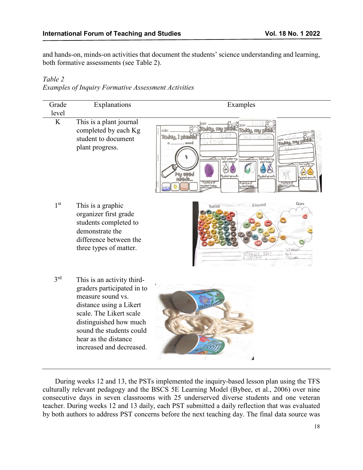and hands-on, minds-on activities that document the students' science understanding and learning, both formative assessments (see Table 2).

## *Table 2*

#### *Examples of Inquiry Formative Assessment Activities*

| Grade<br>level  | Explanations                                                                                                                                                                                                                                  | Examples                                                                                                                                                                         |
|-----------------|-----------------------------------------------------------------------------------------------------------------------------------------------------------------------------------------------------------------------------------------------|----------------------------------------------------------------------------------------------------------------------------------------------------------------------------------|
| K               | This is a plant journal<br>completed by each Kg<br>student to document<br>plant progress.                                                                                                                                                     | Today, I plante<br>seed.<br>d I water my<br>plant today?<br>plant today?<br>ly plant growth<br>My plant growtl<br>A picture of<br>A picture of<br>y plant tode<br>ny plant today |
| 1 <sup>st</sup> | This is a graphic<br>organizer first grade<br>students completed to<br>demonstrate the<br>difference between the<br>three types of matter.                                                                                                    | Gas<br>Liquid<br>Solid<br>fo'<br>$\varrho \Gamma$<br>$C/O$ $udS$                                                                                                                 |
| 3 <sup>rd</sup> | This is an activity third-<br>graders participated in to<br>measure sound vs.<br>distance using a Likert<br>scale. The Likert scale<br>distinguished how much<br>sound the students could<br>hear as the distance<br>increased and decreased. |                                                                                                                                                                                  |

During weeks 12 and 13, the PSTs implemented the inquiry-based lesson plan using the TFS culturally relevant pedagogy and the BSCS 5E Learning Model (Bybee, et al., 2006) over nine consecutive days in seven classrooms with 25 underserved diverse students and one veteran teacher. During weeks 12 and 13 daily, each PST submitted a daily reflection that was evaluated by both authors to address PST concerns before the next teaching day. The final data source was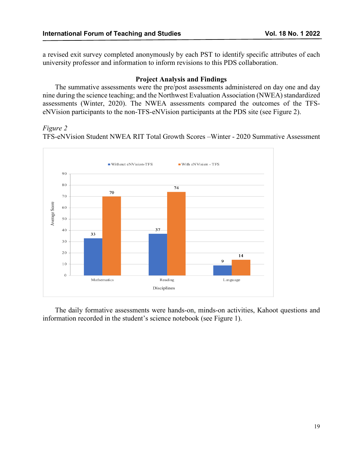a revised exit survey completed anonymously by each PST to identify specific attributes of each university professor and information to inform revisions to this PDS collaboration.

### **Project Analysis and Findings**

The summative assessments were the pre/post assessments administered on day one and day nine during the science teaching; and the Northwest Evaluation Association (NWEA) standardized assessments (Winter, 2020). The NWEA assessments compared the outcomes of the TFSeNVision participants to the non-TFS-eNVision participants at the PDS site (see Figure 2).

### *Figure 2*

TFS-eNVision Student NWEA RIT Total Growth Scores –Winter - 2020 Summative Assessment



The daily formative assessments were hands-on, minds-on activities, Kahoot questions and information recorded in the student's science notebook (see Figure 1).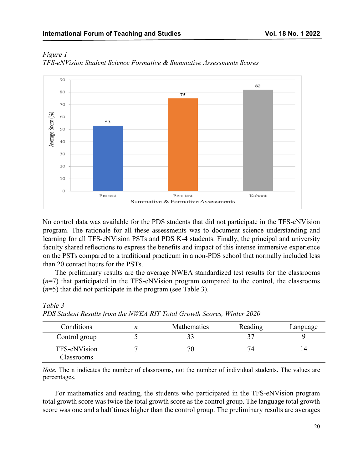

*Figure 1 TFS-eNVision Student Science Formative & Summative Assessments Scores*

No control data was available for the PDS students that did not participate in the TFS-eNVision program. The rationale for all these assessments was to document science understanding and learning for all TFS-eNVision PSTs and PDS K-4 students. Finally, the principal and university faculty shared reflections to express the benefits and impact of this intense immersive experience on the PSTs compared to a traditional practicum in a non-PDS school that normally included less than 20 contact hours for the PSTs.

The preliminary results are the average NWEA standardized test results for the classrooms (*n*=7) that participated in the TFS-eNVision program compared to the control, the classrooms (*n*=5) that did not participate in the program (see Table 3).

*Table 3*

*PDS Student Results from the NWEA RIT Total Growth Scores, Winter 2020*

| Conditions                 | Mathematics | Reading | Language |
|----------------------------|-------------|---------|----------|
| Control group              |             |         |          |
| TFS-eNVision<br>Classrooms |             | 74      | 14       |

*Note.* The n indicates the number of classrooms, not the number of individual students. The values are percentages.

For mathematics and reading, the students who participated in the TFS-eNVision program total growth score was twice the total growth score as the control group. The language total growth score was one and a half times higher than the control group. The preliminary results are averages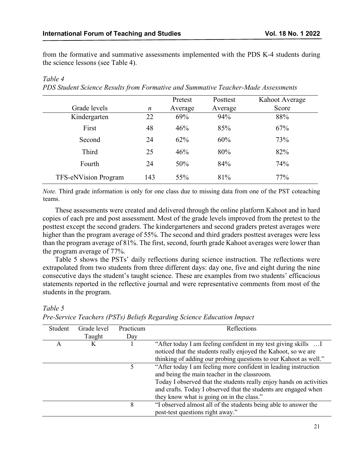from the formative and summative assessments implemented with the PDS K-4 students during the science lessons (see Table 4).

|                             |                  | Pretest | Posttest | Kahoot Average |
|-----------------------------|------------------|---------|----------|----------------|
| Grade levels                | $\boldsymbol{n}$ | Average | Average  | Score          |
| Kindergarten                | 22               | 69%     | 94%      | 88%            |
| First                       | 48               | 46%     | 85%      | 67%            |
| Second                      | 24               | 62%     | 60%      | 73%            |
| Third                       | 25               | 46%     | 80%      | 82%            |
| Fourth                      | 24               | 50%     | 84%      | 74%            |
| <b>TFS-eNVision Program</b> | 143              | 55%     | 81%      | 77%            |

### *PDS Student Science Results from Formative and Summative Teacher-Made Assessments*

*Note.* Third grade information is only for one class due to missing data from one of the PST coteaching teams.

These assessments were created and delivered through the online platform Kahoot and in hard copies of each pre and post assessment. Most of the grade levels improved from the pretest to the posttest except the second graders. The kindergarteners and second graders pretest averages were higher than the program average of 55%. The second and third graders posttest averages were less than the program average of 81%. The first, second, fourth grade Kahoot averages were lower than the program average of 77%.

Table 5 shows the PSTs' daily reflections during science instruction. The reflections were extrapolated from two students from three different days: day one, five and eight during the nine consecutive days the student's taught science. These are examples from two students' efficacious statements reported in the reflective journal and were representative comments from most of the students in the program.

### *Table 5*

*Table 4* 

| Student | Grade level | Practicum | Reflections                                                         |
|---------|-------------|-----------|---------------------------------------------------------------------|
|         | Taught      | Day       |                                                                     |
| A       | K           |           | "After today I am feeling confident in my test giving skills        |
|         |             |           | noticed that the students really enjoyed the Kahoot, so we are      |
|         |             |           | thinking of adding our probing questions to our Kahoot as well."    |
|         |             |           | "After today I am feeling more confident in leading instruction     |
|         |             |           | and being the main teacher in the classroom.                        |
|         |             |           | Today I observed that the students really enjoy hands on activities |
|         |             |           | and crafts. Today I observed that the students are engaged when     |
|         |             |           | they know what is going on in the class."                           |
|         |             | 8         | "I observed almost all of the students being able to answer the     |
|         |             |           | post-test questions right away."                                    |

*Pre-Service Teachers (PSTs) Beliefs Regarding Science Education Impact*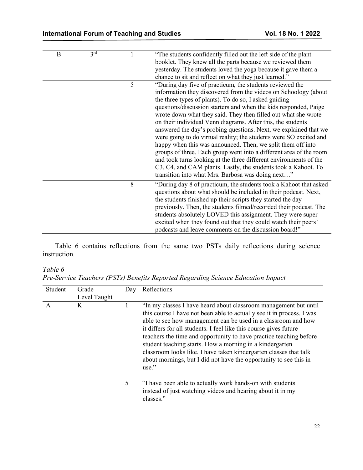| $\mathbf B$ | 3 <sup>rd</sup> |   | "The students confidently filled out the left side of the plant<br>booklet. They knew all the parts because we reviewed them<br>yesterday. The students loved the yoga because it gave them a<br>chance to sit and reflect on what they just learned."                                                                                                                                                                                                                                                                                                                                                                                                                                                                                                                                                                                                               |
|-------------|-----------------|---|----------------------------------------------------------------------------------------------------------------------------------------------------------------------------------------------------------------------------------------------------------------------------------------------------------------------------------------------------------------------------------------------------------------------------------------------------------------------------------------------------------------------------------------------------------------------------------------------------------------------------------------------------------------------------------------------------------------------------------------------------------------------------------------------------------------------------------------------------------------------|
|             |                 | 5 | "During day five of practicum, the students reviewed the<br>information they discovered from the videos on Schoology (about<br>the three types of plants). To do so, I asked guiding<br>questions/discussion starters and when the kids responded, Paige<br>wrote down what they said. They then filled out what she wrote<br>on their individual Venn diagrams. After this, the students<br>answered the day's probing questions. Next, we explained that we<br>were going to do virtual reality; the students were SO excited and<br>happy when this was announced. Then, we split them off into<br>groups of three. Each group went into a different area of the room<br>and took turns looking at the three different environments of the<br>C3, C4, and CAM plants. Lastly, the students took a Kahoot. To<br>transition into what Mrs. Barbosa was doing next" |
|             |                 | 8 | "During day 8 of practicum, the students took a Kahoot that asked<br>questions about what should be included in their podcast. Next,<br>the students finished up their scripts they started the day<br>previously. Then, the students filmed/recorded their podcast. The<br>students absolutely LOVED this assignment. They were super<br>excited when they found out that they could watch their peers'<br>podcasts and leave comments on the discussion board!"                                                                                                                                                                                                                                                                                                                                                                                                    |

Table 6 contains reflections from the same two PSTs daily reflections during science instruction.

## *Table 6*

*Pre-Service Teachers (PSTs) Benefits Reported Regarding Science Education Impact*

| Student | Grade        | Day | Reflections                                                                                                                                                                                                                                                                                                                                                                                                                                                                                                                                                          |
|---------|--------------|-----|----------------------------------------------------------------------------------------------------------------------------------------------------------------------------------------------------------------------------------------------------------------------------------------------------------------------------------------------------------------------------------------------------------------------------------------------------------------------------------------------------------------------------------------------------------------------|
|         | Level Taught |     |                                                                                                                                                                                                                                                                                                                                                                                                                                                                                                                                                                      |
| A       | K            |     | "In my classes I have heard about classroom management but until<br>this course I have not been able to actually see it in process. I was<br>able to see how management can be used in a classroom and how<br>it differs for all students. I feel like this course gives future<br>teachers the time and opportunity to have practice teaching before<br>student teaching starts. How a morning in a kindergarten<br>classroom looks like. I have taken kindergarten classes that talk<br>about mornings, but I did not have the opportunity to see this in<br>use." |
|         |              | 5   | "I have been able to actually work hands-on with students<br>instead of just watching videos and hearing about it in my<br>classes."                                                                                                                                                                                                                                                                                                                                                                                                                                 |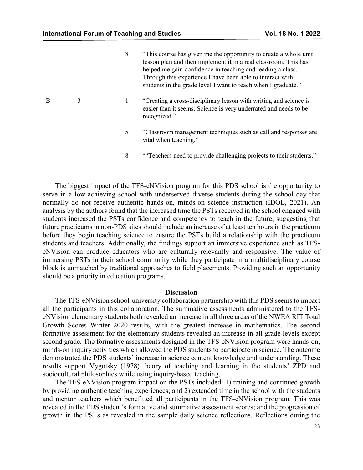|   |   | 8 | "This course has given me the opportunity to create a whole unit"<br>lesson plan and then implement it in a real classroom. This has<br>helped me gain confidence in teaching and leading a class.<br>Through this experience I have been able to interact with<br>students in the grade level I want to teach when I graduate." |
|---|---|---|----------------------------------------------------------------------------------------------------------------------------------------------------------------------------------------------------------------------------------------------------------------------------------------------------------------------------------|
| B | 3 | 1 | "Creating a cross-disciplinary lesson with writing and science is<br>easier than it seems. Science is very underrated and needs to be<br>recognized."                                                                                                                                                                            |
|   |   | 5 | "Classroom management techniques such as call and responses are<br>vital when teaching."                                                                                                                                                                                                                                         |
|   |   | 8 | "Teachers need to provide challenging projects to their students."                                                                                                                                                                                                                                                               |
|   |   |   |                                                                                                                                                                                                                                                                                                                                  |

The biggest impact of the TFS-eNVision program for this PDS school is the opportunity to serve in a low-achieving school with underserved diverse students during the school day that normally do not receive authentic hands-on, minds-on science instruction (IDOE, 2021). An analysis by the authors found that the increased time the PSTs received in the school engaged with students increased the PSTs confidence and competency to teach in the future, suggesting that future practicums in non-PDS sites should include an increase of at least ten hours in the practicum before they begin teaching science to ensure the PSTs build a relationship with the practicum students and teachers. Additionally, the findings support an immersive experience such as TFSeNVision can produce educators who are culturally relevantly and responsive. The value of immersing PSTs in their school community while they participate in a multidisciplinary course block is unmatched by traditional approaches to field placements. Providing such an opportunity should be a priority in education programs.

#### **Discussion**

The TFS-eNVision school-university collaboration partnership with this PDS seems to impact all the participants in this collaboration. The summative assessments administered to the TFSeNVision elementary students both revealed an increase in all three areas of the NWEA RIT Total Growth Scores Winter 2020 results, with the greatest increase in mathematics. The second formative assessment for the elementary students revealed an increase in all grade levels except second grade. The formative assessments designed in the TFS-eNVision program were hands-on, minds-on inquiry activities which allowed the PDS students to participate in science. The outcome demonstrated the PDS students' increase in science content knowledge and understanding. These results support Vygotsky (1978) theory of teaching and learning in the students' ZPD and sociocultural philosophies while using inquiry-based teaching.

The TFS-eNVision program impact on the PSTs included: 1) training and continued growth by providing authentic teaching experiences; and 2) extended time in the school with the students and mentor teachers which benefitted all participants in the TFS-eNVision program. This was revealed in the PDS student's formative and summative assessment scores; and the progression of growth in the PSTs as revealed in the sample daily science reflections. Reflections during the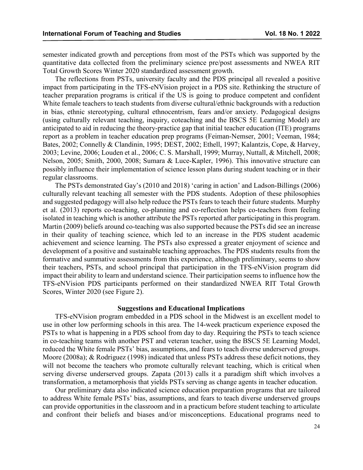semester indicated growth and perceptions from most of the PSTs which was supported by the quantitative data collected from the preliminary science pre/post assessments and NWEA RIT Total Growth Scores Winter 2020 standardized assessment growth.

The reflections from PSTs, university faculty and the PDS principal all revealed a positive impact from participating in the TFS-eNVision project in a PDS site. Rethinking the structure of teacher preparation programs is critical if the US is going to produce competent and confident White female teachers to teach students from diverse cultural/ethnic backgrounds with a reduction in bias, ethnic stereotyping, cultural ethnocentrism, fears and/or anxiety. Pedagogical designs (using culturally relevant teaching, inquiry, coteaching and the BSCS 5E Learning Model) are anticipated to aid in reducing the theory-practice gap that initial teacher education (ITE) programs report as a problem in teacher education prep programs (Feiman-Nemser, 2001; Veeman, 1984; Bates, 2002; Connelly & Clandinin, 1995; DEST, 2002; Ethell, 1997; Kalantzis, Cope, & Harvey, 2003; Levine, 2006; Louden et al., 2006; C. S. Marshall, 1999; Murray, Nuttall, & Mitchell, 2008; Nelson, 2005; Smith, 2000, 2008; Sumara & Luce-Kapler, 1996). This innovative structure can possibly influence their implementation of science lesson plans during student teaching or in their regular classrooms.

The PSTs demonstrated Gay's (2010 and 2018) 'caring in action' and Ladson-Billings (2006) culturally relevant teaching all semester with the PDS students. Adoption of these philosophies and suggested pedagogy will also help reduce the PSTs fears to teach their future students. Murphy et al. (2013) reports co-teaching, co-planning and co-reflection helps co-teachers from feeling isolated in teaching which is another attribute the PSTs reported after participating in this program. Martin (2009) beliefs around co-teaching was also supported because the PSTs did see an increase in their quality of teaching science, which led to an increase in the PDS student academic achievement and science learning. The PSTs also expressed a greater enjoyment of science and development of a positive and sustainable teaching approaches. The PDS students results from the formative and summative assessments from this experience, although preliminary, seems to show their teachers, PSTs, and school principal that participation in the TFS-eNVision program did impact their ability to learn and understand science. Their participation seems to influence how the TFS-eNVision PDS participants performed on their standardized NWEA RIT Total Growth Scores, Winter 2020 (see Figure 2).

#### **Suggestions and Educational Implications**

TFS-eNVision program embedded in a PDS school in the Midwest is an excellent model to use in other low performing schools in this area. The 14-week practicum experience exposed the PSTs to what is happening in a PDS school from day to day. Requiring the PSTs to teach science in co-teaching teams with another PST and veteran teacher, using the BSCS 5E Learning Model, reduced the White female PSTs' bias, assumptions, and fears to teach diverse underserved groups. Moore (2008a); & Rodriguez (1998) indicated that unless PSTs address these deficit notions, they will not become the teachers who promote culturally relevant teaching, which is critical when serving diverse underserved groups. Zapata (2013) calls it a paradigm shift which involves a transformation, a metamorphosis that yields PSTs serving as change agents in teacher education.

Our preliminary data also indicated science education preparation programs that are tailored to address White female PSTs' bias, assumptions, and fears to teach diverse underserved groups can provide opportunities in the classroom and in a practicum before student teaching to articulate and confront their beliefs and biases and/or misconceptions. Educational programs need to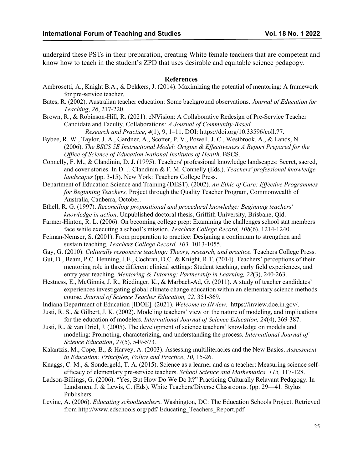undergird these PSTs in their preparation, creating White female teachers that are competent and know how to teach in the student's ZPD that uses desirable and equitable science pedagogy.

#### **References**

- Ambrosetti, A., Knight B.A., & Dekkers, J. (2014). Maximizing the potential of mentoring: A framework for pre-service teacher.
- Bates, R. (2002). Australian teacher education: Some background observations. *Journal of Education for Teaching*, *28*, 217-220.
- Brown, R., & Robinson-Hill, R. (2021). eNVision: A Collaborative Redesign of Pre-Service Teacher Candidate and Faculty. Collaborations*: A Journal of Community-Based Research and Practice*, *4*(1), 9, 1–11. DOI: https://doi.org/10.33596/coll.77.
- Bybee, R. W., Taylor, J. A., Gardner, A., Scotter, P. V., Powell, J. C., Westbrook, A., & Lands, N. (2006). *The BSCS 5E Instructional Model: Origins & Effectiveness A Report Prepared for the Office of Science of Education National Institutes of Health*. BSCS.
- Connelly, F. M., & Clandinin, D. J. (1995). Teachers' professional knowledge landscapes: Secret, sacred, and cover stories. In D. J. Clandinin & F. M. Connelly (Eds.), *Teachers' professional knowledge landscapes* (pp. 3-15). New York: Teachers College Press.
- Department of Education Science and Training (DEST). (2002). *An Ethic of Care: Effective Programmes for Beginning Teachers,* Project through the Quality Teacher Program, Commonwealth of Australia, Canberra, October.
- Ethell, R. G. (1997). *Reconciling propositional and procedural knowledge: Beginning teachers' knowledge in action*. Unpublished doctoral thesis, Griffith University, Brisbane, Qld.
- Farmer-Hinton, R. L. (2006). On becoming college prep: Examining the challenges school stat members face while executing a school's mission. *Teachers College Record, 108*(6), 1214-1240.
- Feiman-Nemser, S. (2001). From preparation to practice: Designing a continuum to strengthen and sustain teaching. *Teachers College Record, 103,* 1013-1055*.*
- Gay, G. (2010). *Culturally responsive teaching: Theory, research, and practice*. Teachers College Press.
- Gut, D., Beam, P.C. Henning, J.E., Cochran, D.C. & Knight, R.T. (2014). Teachers' perceptions of their mentoring role in three different clinical settings: Student teaching, early field experiences, and entry year teaching. *Mentoring & Tutoring: Partnership in Learning, 22*(3), 240-263.
- Hestness, E., McGinnis, J. R., Riedinger, K., & Marbach-Ad, G. (2011). A study of teacher candidates' experiences investigating global climate change education within an elementary science methods course. *Journal of Science Teacher Education, 22*, 351-369.
- Indiana Department of Education [IDOE]. (2021). *Welcome to INview.* https://inview.doe.in.gov/.
- Justi, R. S., & Gilbert, J. K. (2002). Modeling teachers' view on the nature of modeling, and implications for the education of modelers. *International Journal of Science Education, 24*(4), 369-387.
- Justi, R., & van Driel, J. (2005). The development of science teachers' knowledge on models and modeling: Promoting, characterizing, and understanding the process. *International Journal of Science Education*, *27*(5), 549-573*.*
- Kalantzis, M., Cope, B., & Harvey, A. (2003). Assessing multiliteracies and the New Basics. *Assessment in Education: Principles, Policy and Practice*, *10,* 15-26.
- Knaggs, C. M., & Sondergeld, T. A. (2015). Science as a learner and as a teacher: Measuring science selfefficacy of elementary pre-service teachers. *School Science and Mathematics, 115,* 117-128.
- Ladson-Billings, G. (2006). "Yes, But How Do We Do It?" Practicing Culturally Relavant Pedagogy. In Landsmen, J. & Lewis, C. (Eds). White Teachers/Diverse Classrooms. (pp. 29—41. Stylus Publishers.
- Levine, A. (2006). *Educating schoolteachers*. Washington, DC: The Education Schools Project. Retrieved from http://www.edschools.org/pdf/ Educating\_Teachers\_Report.pdf